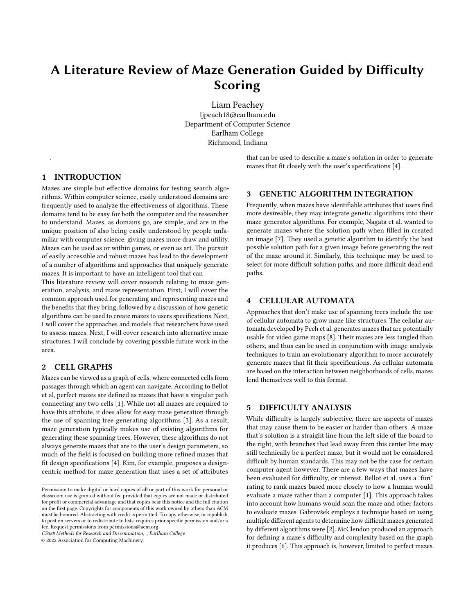# A Literature Review of Maze Generation Guided by Difficulty Scoring

Liam Peachey ljpeach18@earlham.edu Department of Computer Science Earlham College Richmond, Indiana

> that can be used to describe a maze's solution in order to generate mazes that fit closely with the user's specifications [\[4\]](#page-1-2).

## 1 INTRODUCTION

.

Mazes are simple but effective domains for testing search algorithms. Within computer science, easily understood domains are frequently used to analyze the effectiveness of algorithms. These domains tend to be easy for both the computer and the researcher to understand. Mazes, as domains go, are simple, and are in the unique position of also being easily understood by people unfamiliar with computer science, giving mazes more draw and utility. Mazes can be used as or within games, or even as art. The pursuit of easily accessible and robust mazes has lead to the development of a number of algorithms and approaches that uniquely generate mazes. It is important to have an intelligent tool that can

This literature review will cover research relating to maze generation, analysis, and maze representation. First, I will cover the common approach used for generating and representing mazes and the benefits that they bring, followed by a discussion of how genetic algorithms can be used to create mazes to users specifications. Next, I will cover the approaches and models that researchers have used to assess mazes. Next, I will cover research into alternative maze structures. I will conclude by covering possible future work in the area.

# 2 CELL GRAPHS

Mazes can be viewed as a graph of cells, where connected cells form passages through which an agent can navigate. According to Bellot et al, perfect mazes are defined as mazes that have a singular path connecting any two cells [\[1\]](#page-1-0). While not all mazes are required to have this attribute, it does allow for easy maze generation through the use of spanning tree generating algorithms [\[3\]](#page-1-1). As a result, maze generation typically makes use of existing algorithms for generating these spanning trees. However, these algorithms do not always generate mazes that are to the user's design parameters, so much of the field is focused on building more refined mazes that fit design specifications [\[4\]](#page-1-2). Kim, for example, proposes a designcentric method for maze generation that uses a set of attributes

CS388 Methods for Research and Dissemination, , Earlham College

© 2022 Association for Computing Machinery.

# 3 GENETIC ALGORITHM INTEGRATION

Frequently, when mazes have identifiable attributes that users find more desireable, they may integrate genetic algorithms into their maze generator algorithms. For example, Nagata et al. wanted to generate mazes where the solution path when filled in created an image [\[7\]](#page-1-3). They used a genetic algorithm to identify the best possible solution path for a given image before generating the rest of the maze around it. Similarly, this technique may be used to select for more difficult solution paths, and more difficult dead end paths.

#### **CELLULAR AUTOMATA**

Approaches that don't make use of spanning trees include the use of cellular automata to grow maze like structures. The cellular automata developed by Pech et al. generates mazes that are potentially usable for video game maps [\[8\]](#page-1-4). Their mazes are less tangled than others, and thus can be used in conjunction with image analysis techniques to train an evolutionary algorithm to more accurately generate mazes that fit their specifications. As cellular automata are based on the interaction between neighborhoods of cells, mazes lend themselves well to this format.

## 5 DIFFICULTY ANALYSIS

While difficulty is largely subjective, there are aspects of mazes that may cause them to be easier or harder than others. A maze that's solution is a straight line from the left side of the board to the right, with branches that lead away from this center line may still technically be a perfect maze, but it would not be considered difficult by human standards. This may not be the case for certain computer agent however. There are a few ways that mazes have been evaluated for difficulty, or interest. Bellot et al. uses a "fun" rating to rank mazes based more closely to how a human would evaluate a maze rather than a computer [\[1\]](#page-1-0). This approach takes into account how humans would scan the maze and other factors to evaluate mazes. Gabrovšek employs a technique based on using multiple different agents to determine how difficult mazes generated by different algorithms were [\[2\]](#page-1-5). McClendon produced an approach for defining a maze's difficulty and complexity based on the graph it produces [\[6\]](#page-1-6). This approach is, however, limited to perfect mazes.

Permission to make digital or hard copies of all or part of this work for personal or classroom use is granted without fee provided that copies are not made or distributed for profit or commercial advantage and that copies bear this notice and the full citation on the first page. Copyrights for components of this work owned by others than  $\rm{ACM}$ must be honored. Abstracting with credit is permitted. To copy otherwise, or republish, to post on servers or to redistribute to lists, requires prior specific permission and/or a fee. Request permissions from permissions@acm.org.